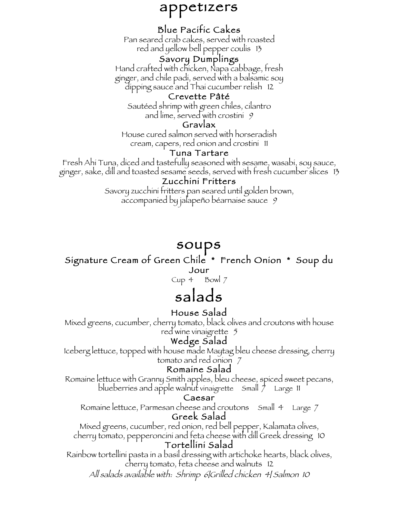# appetizers

# Blue Pacific Cakes

Pan seared crab cakes, served with roasted red and yellow bell pepper coulis 13

#### Savory Dumplings

Hand crafted with chicken, Napa cabbage, fresh ginger, and chile padi, served with a balsamic soy dipping sauce and Thai cucumber relish 12

#### Crevette Pâté

Sautéed shrimp with green chiles, cilantro and lime, served with crostini 9

#### Gravlax

House cured salmon served with horseradish cream, capers, red onion and crostini 11

#### Tuna Tartare

Fresh Ahi Tuna, diced and tastefully seasoned with sesame, wasabi, soy sauce, ginger, sake, dill and toasted sesame seeds, served with fresh cucumber slices 13

#### Zucchini Fritters

Savory zucchini fritters pan seared until golden brown, accompanied by jalapeño béarnaise sauce 9

# soups

#### Signature Cream of Green Chile \* French Onion \* Soup du Jour

Cup  $4$  Bowl  $7$ 

# salads

#### House Salad

Mixed greens, cucumber, cherry tomato, black olives and croutons with house red wine vinaigrette 5

## Wedge Salad

Iceberg lettuce, topped with house made Maytag bleu cheese dressing, cherry tomato and red onion 7

#### Romaine Salad

Romaine lettuce with Granny Smith apples, bleu cheese, spiced sweet pecans, blueberries and apple walnut vinaigrette  $\sinh \frac{1}{2}$  Large 11

#### Caesar

Romaine lettuce, Parmesan cheese and croutons Small 4 Large 7 Greek Salad

Mixed greens, cucumber, red onion, red bell pepper, Kalamata olives, cherry tomato, pepperoncini and feta cheese with dill Greek dressing 10 Tortellini Salad

Rainbow tortellini pasta in a basil dressing with artichoke hearts, black olives, cherry tomato, feta cheese and walnuts 12

All salads available with: Shrimp 6|Grilled chicken 4| Salmon 10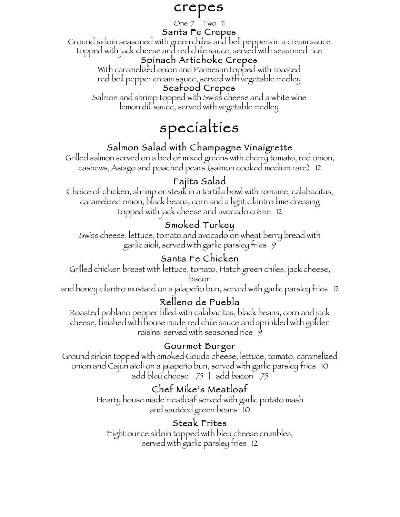# crepes

#### One 7 Two 11

#### Santa Fe Crepes

Ground sirloin seasoned with green chiles and bell peppers in a cream sauce topped with jack cheese and red chile sauce, served with seasoned rice

#### Spinach Artichoke Crepes

With caramelized onion and Parmesan topped with roasted red bell pepper cream sauce, served with vegetable medley

#### Seafood Crepes

Salmon and shrimp topped with Swiss cheese and a white wine lemon dill'sauce, served with vegetable medley

# specialties

# Salmon Salad with Champagne Vinaigrette

Grilled salmon served on a bed of mixed greens with cherry tomato, red onion, cashews, Asiago and poached pears (salmon cooked medium rare) 12

# Fajita Salad

Choice of chicken, shrimp or steak in a tortilla bowl with romaine, calabacitas, caramelized onion, black beans, corn and a light cilantro lime dressing topped with jack cheese and avocado crème 12

# Smoked Turkey

Swiss cheese, lettuce, tomato and avocado on wheat berry bread with garlic aioli, served with garlic parsley fries 9

# Santa Fe Chicken

Grilled chicken breast with lettuce, tomato, Hatch green chiles, jack cheese, bacon

and honey cilantro mustard on a jalapeño bun, served with garlic parsley fries 12

# Relleno de Puebla

Roasted poblano pepper filled with calabacitas, black beans, corn and jack cheese, finished with house made red chile sauce and sprinkled with golden raisins, served with seasoned rice  $\hat{y}$ 

## Gourmet Burger

Ground sirloin topped with smoked Gouda cheese, lettuce, tomato, caramelized onion and Cajun aioli on a jalapeño bun, served with garlic parsley fries 10 add bleu cheese .75 | add bacon .75

# Chef Mike's Meatloaf

Hearty house made meatloaf served with garlic potato mash and sautéed green beans 10

## Steak Frites

Eight ounce sirloin topped with bleu cheese crumbles, served with garlic parsley fries 12